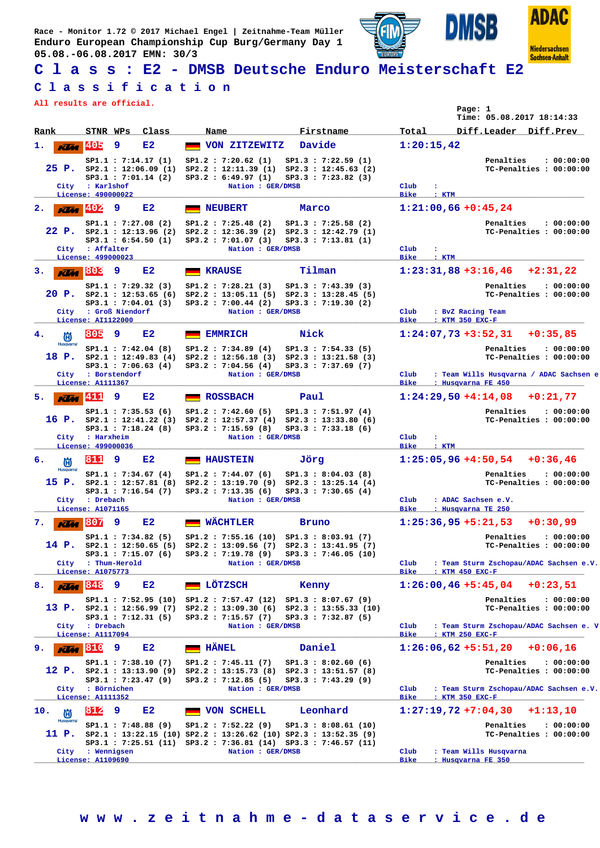**Race - Monitor 1.72 © 2017 Michael Engel | Zeitnahme-Team Müller Enduro European Championship Cup Burg/Germany Day 1 05.08.-06.08.2017 EMN: 30/3**





**Sachsen-Anhalt** 

**ISB** 

DN

## **C l a s s : E2 - DMSB Deutsche Enduro Meisterschaft E2**

#### **C l a s s i f i c a t i o n**

**All results are official.**

|                                               | All results are official.                                                                                         |                                                                                                                                                                                                                                  | Page: 1<br>Time: 05.08.2017 18:14:33                                                                                                                      |
|-----------------------------------------------|-------------------------------------------------------------------------------------------------------------------|----------------------------------------------------------------------------------------------------------------------------------------------------------------------------------------------------------------------------------|-----------------------------------------------------------------------------------------------------------------------------------------------------------|
| Rank                                          | STNR WPs<br>Class                                                                                                 | Firstname<br>Name                                                                                                                                                                                                                | Total<br>Diff.Leader Diff.Prev                                                                                                                            |
| ı.<br><b>KLM</b>                              | 405<br>9<br>E2                                                                                                    | Davide<br>VON ZITZEWITZ                                                                                                                                                                                                          | 1:20:15,42                                                                                                                                                |
| City                                          | SP1.1 : 7:14.17(1)<br>$25$ P. $SP2.1$ : 12:06.09 (1)<br>$SP3.1$ : 7:01.14 (2)<br>: Karlshof                       | SP1.2 : 7:20.62(1)<br>SP1.3 : 7:22.59(1)<br>SP2.2 : 12:11.39 (1) SP2.3 : 12:45.63 (2)<br>SP3.2 : 6:49.97(1)<br>$SP3.3$ : 7:23.82 (3)<br>Nation : GER/DMSB                                                                        | Penalties<br>: 00:00:00<br>TC-Penalties : 00:00:00<br>Club<br>÷                                                                                           |
| $K$ $M$ $402$                                 | License: 490000022<br>9<br>E2                                                                                     | <b>NEUBERT</b><br>Marco                                                                                                                                                                                                          | Bike<br>: KTM<br>$1:21:00,66 + 0:45,24$                                                                                                                   |
| 2.<br>City                                    | SP1.1 : 7:27.08(2)<br>22 P. $SP2.1 : 12:13.96 (2)$<br>SP3.1 : 6:54.50(1)<br>: Affalter<br>License: 499000023      | SP1.2 : 7:25.48(2)<br>SP1.3 : 7:25.58 (2)<br>$SP2.2 : 12:36.39 (2) SP2.3 : 12:42.79 (1)$<br>SP3.3 : 7:13.81 (1)<br>SP3.2 : 7:01.07(3)<br>Nation : GER/DMSB                                                                       | Penalties<br>: 00:00:00<br>TC-Penalties : 00:00:00<br>Club<br>÷<br>Bike<br>$\mathbf{r}$ : $\mathbf{KTM}$                                                  |
| з.<br>Klaa                                    | 803<br>9<br>E2                                                                                                    | Tilman<br><b>KRAUSE</b>                                                                                                                                                                                                          | $1:23:31,88+3:16,46$ +2:31,22                                                                                                                             |
|                                               | SP1.1 : 7:29.32 (3)<br>$20$ P. $SP2.1$ : 12:53.65 (6)<br>SP3.1 : 7:04.01(3)<br>City : Groß Niendorf               | SP1.2 : 7:28.21(3)<br>SP1.3 : 7:43.39(3)<br>$SP2.2 : 13:05.11(5) SP2.3 : 13:28.45(5)$<br>SP3.2 : 7:00.44 (2)<br>SP3.3 : 7:19.30(2)<br>Nation : GER/DMSB                                                                          | Penalties<br>: 00:00:00<br>TC-Penalties : 00:00:00<br>Club<br>: BvZ Racing Team                                                                           |
| 4.                                            | License: AI1122000<br>805<br>9<br>E2                                                                              | Nick<br><b>EMMRICH</b>                                                                                                                                                                                                           | <b>Bike</b><br>: KTM 350 EXC-F<br>$1:24:07,73+3:52,31$<br>$+0:35,85$                                                                                      |
| 尚<br><b>Husqvarna</b><br>18 P.<br>City        | SP1.1 : 7:42.04 (8)<br>SP2.1 : 12:49.83(4)<br>SP3.1 : 7:06.63(4)<br>: Borstendorf                                 | SP1.2 : 7:34.89(4)<br>SP1.3 : 7:54.33(5)<br>$SP2.2 : 12:56.18 (3) SP2.3 : 13:21.58 (3)$<br>SP3.2 : 7:04.56(4)<br>SP3.3 : 7:37.69(7)<br>Nation : GER/DMSB                                                                         | Penalties<br>: 00:00:00<br>TC-Penalties : 00:00:00<br>: Team Wills Husqvarna / ADAC Sachsen e<br>Club                                                     |
|                                               | License: A1111367                                                                                                 |                                                                                                                                                                                                                                  | Bike<br>: Husqvarna FE 450                                                                                                                                |
| $\overline{K}$<br>5.                          | 9<br>E2<br>SP1.1 : 7:35.53(6)<br>SP3.1 : 7:18.24 (8)<br>City : Harxheim                                           | <b>ROSSBACH</b><br>Paul<br>SP1.2 : 7:42.60(5)<br>SP1.3 : 7:51.97(4)<br>16 P. sp2.1 : 12:41.22 (3) Sp2.2 : 12:57.37 (4) Sp2.3 : 13:33.80 (6)<br>SP3.2 : 7:15.59 (8)<br>$SP3.3$ : 7:33.18 (6)<br>Nation : GER/DMSB                 | $1:24:29,50 + 4:14,08 + 0:21,77$<br>Penalties<br>: 00:00:00<br>TC-Penalties : 00:00:00<br>Club<br>÷                                                       |
|                                               | License: 499000036                                                                                                |                                                                                                                                                                                                                                  | <b>Bike</b><br>: KTM                                                                                                                                      |
| б.<br>尚<br><b>Husqvarna</b>                   | 811<br>9<br>E2                                                                                                    | <b>HAUSTEIN</b><br>Jörg                                                                                                                                                                                                          | $1:25:05,96 + 4:50,54$<br>$+0:36,46$                                                                                                                      |
| City                                          | SP1.1: 7:34.67 (4)<br>$15$ P. $SP2.1$ : $12:57.81$ (8)<br>$SP3.1$ : 7:16.54 (7)<br>: Drebach<br>License: A1071165 | SP1.2 : 7:44.07(6)<br>SP1.3 : 8:04.03(8)<br>$SP2.2$ : 13:19.70 (9) $SP2.3$ : 13:25.14 (4)<br>SP3.2 : 7:13.35(6)<br>$SP3.3$ : 7:30.65 (4)<br>Nation : GER/DMSB                                                                    | Penalties<br>: 00:00:00<br>TC-Penalties : 00:00:00<br>Club<br>: ADAC Sachsen e.V.<br><b>Bike</b><br>: Husqvarna TE 250                                    |
| <b>KUM</b> 807<br>7.                          | 9<br>E2                                                                                                           | <b>WÄCHTLER</b><br><b>Bruno</b>                                                                                                                                                                                                  | $1:25:36,95 + 5:21,53$<br>$+0:30,99$                                                                                                                      |
| 14 P.                                         | SP1.1 : 7:34.82(5)<br>City : Thum-Herold                                                                          | $SP1.2 : 7:55.16 (10) SP1.3 : 8:03.91 (7)$<br>SP2.1: 12:50.65 (5) SP2.2: 13:09.56 (7) SP2.3: 13:41.95 (7)<br>SP3.1: 7:15.07 (6) SP3.2: 7:19.78 (9) SP3.3: 7:46.05 (10)<br>Nation : GER/DMSB                                      | Penalties<br>: 00:00:00<br>TC-Penalties : 00:00:00<br>: Team Sturm Zschopau/ADAC Sachsen e.V.<br>Club                                                     |
| 8.<br>Klia                                    | License: A1075773<br>E2<br>848<br>9                                                                               | LÖTZSCH<br>Kenny                                                                                                                                                                                                                 | <b>Bike</b><br>: KTM 450 EXC-F<br>$+0:23,51$<br>$1:26:00,46 + 5:45,04$                                                                                    |
|                                               | SP1.1 : 7:52.95 (10)<br>13 P. $SP2.1 : 12:56.99(7)$<br>$SP3.1$ : 7:12.31 (5)                                      | $SP1.2 : 7:57.47 (12) SP1.3 : 8:07.67 (9)$<br>$SP2.2 : 13:09.30(6) SP2.3 : 13:55.33(10)$<br>SP3.2 : 7:15.57(7)<br>SP3.3 : 7:32.87(5)                                                                                             | Penalties<br>: 00:00:00<br>TC-Penalties : 00:00:00                                                                                                        |
|                                               | City : Drebach<br>License: A1117094                                                                               | Nation : GER/DMSB                                                                                                                                                                                                                | Club<br>: Team Sturm Zschopau/ADAC Sachsen e. V<br><b>Bike</b><br>: KTM 250 EXC-F                                                                         |
| 9.<br>Klaa                                    | 1810<br>9<br>E2                                                                                                   | HÄNEL<br>Daniel                                                                                                                                                                                                                  | $1:26:06,62 +5:51,20$<br>$+0:06.16$                                                                                                                       |
| City                                          | SP1.1: 7:38.10 (7)<br>12 P. $SP2.1 : 13:13.90(9)$<br>SP3.1 : 7:23.47 (9)<br>: Börnichen                           | SP1.2 : 7:45.11(7)<br>SP1.3 : 8:02.60(6)<br>$SP2.2 : 13:15.73 (8) SP2.3 : 13:51.57 (8)$<br>SP3.2 : 7:12.85 (5)<br>SP3.3 : 7:43.29(9)<br>Nation : GER/DMSB                                                                        | Penalties<br>: 00:00:00<br>TC-Penalties : 00:00:00<br>: Team Sturm Zschopau/ADAC Sachsen e.V.<br>Club                                                     |
|                                               | License: A1111352                                                                                                 |                                                                                                                                                                                                                                  | Bike<br>: KTM 350 EXC-F                                                                                                                                   |
| 10.<br>尚<br><b>Husqvarna</b><br>11 P.<br>City | 1812<br>9<br>E2<br>SP1.1 : 7:48.88 (9)<br>: Wennigsen<br>License: A1109690                                        | <b>VON SCHELL</b><br>Leonhard<br>SP1.2 : 7:52.22(9)<br>SP1.3 : 8:08.61 (10)<br>SP2.1: 13:22.15 (10) SP2.2: 13:26.62 (10) SP2.3: 13:52.35 (9)<br>SP3.1: 7:25.51 (11) SP3.2: 7:36.81 (14) SP3.3: 7:46.57 (11)<br>Nation : GER/DMSB | $1:27:19,72 +7:04,30$<br>$+1:13,10$<br>Penalties<br>: 00:00:00<br>TC-Penalties : 00:00:00<br>Club<br>: Team Wills Husqvarna<br>Bike<br>: Husqvarna FE 350 |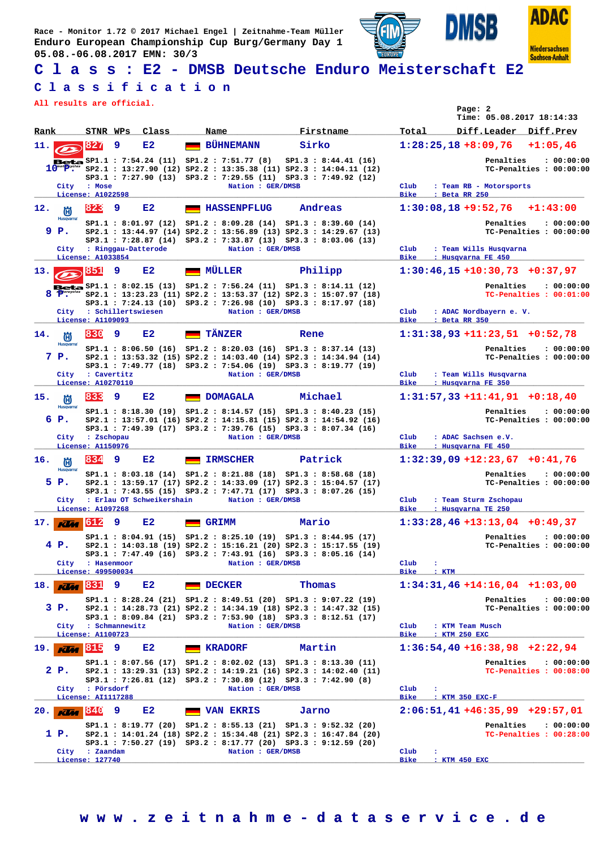**Race - Monitor 1.72 © 2017 Michael Engel | Zeitnahme-Team Müller Enduro European Championship Cup Burg/Germany Day 1 05.08.-06.08.2017 EMN: 30/3**





**Sachsen-Anhalt** 

**ISB** 

D

## **C l a s s : E2 - DMSB Deutsche Enduro Meisterschaft E2**

#### **C l a s s i f i c a t i o n**

**All results are official.**

|                                  |                                   |                |                           |                                                                                                                                                                                                                                                                                  |        |                      |                     |                                           | Page: 2 | Time: 05.08.2017 18:14:33                                       |            |
|----------------------------------|-----------------------------------|----------------|---------------------------|----------------------------------------------------------------------------------------------------------------------------------------------------------------------------------------------------------------------------------------------------------------------------------|--------|----------------------|---------------------|-------------------------------------------|---------|-----------------------------------------------------------------|------------|
| Rank                             | STNR WPs                          |                | Class                     | Name                                                                                                                                                                                                                                                                             |        | Firstname            | Total               |                                           |         | Diff.Leader Diff.Prev                                           |            |
| 11.                              | 827                               | 9              | E2                        | <b>BÜHNEMANN</b>                                                                                                                                                                                                                                                                 | Sirko  |                      |                     | $1:28:25,18+8:09,76$                      |         |                                                                 | $+1:05,46$ |
| City                             | : Mose<br>License: A1022598       |                |                           | <b>Beta</b> $SP1.1$ : 7:54.24 (11) $SP1.2$ : 7:51.77 (8)<br>$10^{\text{m} \cdot (\text{p} \cdot \text{p} \cdot \text{s})}$ sp2.1 : 13:27.90 (12) SP2.2 : 13:35.38 (11) SP2.3 : 14:04.11 (12)<br>SP3.1: 7:27.90 (13) SP3.2: 7:29.55 (11) SP3.3: 7:49.92 (12)<br>Nation : GER/DMSB |        | SP1.3 : 8:44.41 (16) | Club<br><b>Bike</b> | : Beta RR 250                             |         | Penalties<br>TC-Penalties : 00:00:00<br>: Team RB - Motorsports | : 00:00:00 |
| 12.<br>尚                         | 1823                              | 9              | E2                        | <b>HASSENPFLUG</b>                                                                                                                                                                                                                                                               |        | Andreas              |                     | $1:30:08,18+9:52,76$                      |         |                                                                 | $+1:43:00$ |
| <b>Husqvarna</b><br>9 P.         | License: A1033854                 |                | City : Ringgau-Datterode  | SP1.1: 8:01.97 (12) SP1.2: 8:09.28 (14) SP1.3: 8:39.60 (14)<br>SP2.1: 13:44.97 (14) SP2.2: 13:56.89 (13) SP2.3: 14:29.67 (13)<br>SP3.1: 7:28.87 (14) SP3.2: 7:33.87 (13) SP3.3: 8:03.06 (13)<br>Nation : GER/DMSB                                                                |        |                      | Club<br>Bike        | : Husqvarna FE 450                        |         | Penalties<br>TC-Penalties : 00:00:00<br>: Team Wills Husqvarna  | : 00:00:00 |
| 13.1                             | <b>851</b>                        | 9              | E2                        | MÜLLER                                                                                                                                                                                                                                                                           |        | Philipp              |                     |                                           |         | $1:30:46,15+10:30,73+0:37,97$                                   |            |
| City                             |                                   |                | : Schillertswiesen        | Beta SP1.1: 8:02.15 (13) SP1.2: 7:56.24 (11) SP1.3: 8:14.11 (12)<br>$8$ $T^{\text{or} \text{cycle}}$ $SP2.1$ : 13:23.23 (11) $SP2.2$ : 13:53.37 (12) $SP2.3$ : 15:07.97 (18)<br>SP3.1: 7:24.13 (10) SP3.2: 7:26.98 (10) SP3.3: 8:17.97 (18)<br>Nation : GER/DMSB                 |        |                      | Club                |                                           |         | Penalties<br>TC-Penalties : 00:01:00<br>: ADAC Nordbayern e. V. | : 00:00:00 |
|                                  | License: A1109093                 |                |                           |                                                                                                                                                                                                                                                                                  |        |                      | Bike                | : Beta RR 350                             |         |                                                                 |            |
| 14.<br>尚<br><b>Husqvarna</b>     | 830                               | 9              | E2                        | <b>TÄNZER</b>                                                                                                                                                                                                                                                                    | Rene   |                      |                     |                                           |         | $1:31:38,93+11:23,51+0:52,78$                                   |            |
| 7 P.                             |                                   |                |                           | SP1.1: 8:06.50 (16) SP1.2: 8:20.03 (16) SP1.3: 8:37.14 (13)<br>SP2.1: 13:53.32 (15) SP2.2: 14:03.40 (14) SP2.3: 14:34.94 (14)<br>SP3.1: 7:49.77 (18) SP3.2: 7:54.06 (19) SP3.3: 8:19.77 (19)                                                                                     |        |                      |                     |                                           |         | Penalties<br>$TC-Penalties: 00:00:00$                           | : 00:00:00 |
| City                             | : Cavertitz<br>License: A10270110 |                |                           | Nation : GER/DMSB                                                                                                                                                                                                                                                                |        |                      | Club<br><b>Bike</b> | : Husqvarna FE 350                        |         | : Team Wills Husqvarna                                          |            |
| 15.<br>尚                         | 833                               | 9              | E2                        | <b>DOMAGALA</b>                                                                                                                                                                                                                                                                  |        | Michael              |                     |                                           |         | $1:31:57,33+11:41,91+0:18,40$                                   |            |
| <b>Husqvarna</b><br>6 P.         |                                   |                |                           | SP1.1: 8:18.30 (19) SP1.2: 8:14.57 (15) SP1.3: 8:40.23 (15)<br>SP2.1: 13:57.01 (16) SP2.2: 14:15.81 (15) SP2.3: 14:54.92 (16)<br>SP3.1: 7:49.39 (17) SP3.2: 7:39.76 (15) SP3.3: 8:07.34 (16)                                                                                     |        |                      |                     |                                           |         | Penalties<br>TC-Penalties : 00:00:00                            | : 00:00:00 |
| City                             | : Zschopau<br>License: A1150976   |                |                           | Nation : GER/DMSB                                                                                                                                                                                                                                                                |        |                      | Club<br><b>Bike</b> | : ADAC Sachsen e.V.<br>: Husqvarna FE 450 |         |                                                                 |            |
| 16.<br>倘                         | 834                               | 9              | E2                        | <b>IRMSCHER</b>                                                                                                                                                                                                                                                                  |        | Patrick              |                     |                                           |         | $1:32:39,09$ +12:23,67 +0:41,76                                 |            |
| <b>Husqvarna</b><br>5 P.<br>City |                                   |                | : Erlau OT Schweikershain | SP1.1: 8:03.18 (14) SP1.2: 8:21.88 (18) SP1.3: 8:58.68 (18)<br>SP2.1: 13:59.17 (17) SP2.2: 14:33.09 (17) SP2.3: 15:04.57 (17)<br>SP3.1: 7:43.55 (15) SP3.2: 7:47.71 (17) SP3.3: 8:07.26 (15)<br>Nation : GER/DMSB                                                                |        |                      | Club                |                                           |         | Penalties<br>TC-Penalties : 00:00:00<br>: Team Sturm Zschopau   | : 00:00:00 |
| $K$ $K$ $4$ 612<br>17.           | License: A1097268                 | 9              | E2                        | GRIMM                                                                                                                                                                                                                                                                            | Mario  |                      | <b>Bike</b>         | : Husqvarna TE 250                        |         | $1:33:28,46$ +13:13,04 +0:49,37                                 |            |
| 4 P.<br>City                     | : Hasenmoor<br>License: 499500034 |                |                           | SP1.1: 8:04.91 (15) SP1.2: 8:25.10 (19) SP1.3: 8:44.95 (17)<br>SP2.1: 14:03.18 (19) SP2.2: 15:16.21 (20) SP2.3: 15:17.55 (19)<br>SP3.1: 7:47.49 (16) SP3.2: 7:43.91 (16) SP3.3: 8:05.16 (14)<br>Nation : GER/DMSB                                                                |        |                      | Club<br>Bike        | ÷<br>$:$ KTM                              |         | Penalties<br>TC-Penalties : 00:00:00                            | : 00:00:00 |
| 18.<br><b>KUM</b>                | 831                               | 9              | E2                        | <b>DECKER</b>                                                                                                                                                                                                                                                                    | Thomas |                      |                     |                                           |         | $1:34:31,46+14:16,04$ +1:03,00                                  |            |
| 3 P.                             |                                   |                |                           | SP1.1: 8:28.24 (21) SP1.2: 8:49.51 (20) SP1.3: 9:07.22 (19)<br>$SP2.1 : 14:28.73 (21) SP2.2 : 14:34.19 (18) SP2.3 : 14:47.32 (15)$<br>SP3.1: 8:09.84 (21) SP3.2: 7:53.90 (18) SP3.3: 8:12.51 (17)                                                                                |        |                      |                     |                                           |         | Penalties<br>TC-Penalties : 00:00:00                            | : 00:00:00 |
| City                             | License: A1100723                 | : Schmannewitz |                           | Nation : GER/DMSB                                                                                                                                                                                                                                                                |        |                      | Club<br>Bike        | : KTM Team Musch<br>: KTM 250 EXC         |         |                                                                 |            |
| $19.$ KUM                        | 815                               | 9              | E2                        | <b>KRADORF</b>                                                                                                                                                                                                                                                                   | Martin |                      |                     |                                           |         | $1:36:54,40+16:38,98$ +2:22,94                                  |            |
| 2 P.<br>City                     | : Pörsdorf                        |                |                           | SP1.1: 8:07.56 (17) SP1.2: 8:02.02 (13) SP1.3: 8:13.30 (11)<br>SP2.1: 13:29.31 (13) SP2.2: 14:19.21 (16) SP2.3: 14:02.40 (11)<br>SP3.1: 7:26.81 (12) SP3.2: 7:30.89 (12) SP3.3: 7:42.90 (8)<br>Nation : GER/DMSB                                                                 |        |                      | Club                | ÷                                         |         | Penalties<br>TC-Penalties : 00:08:00                            | : 00:00:00 |
|                                  | License: AI1117288                |                |                           |                                                                                                                                                                                                                                                                                  |        |                      | Bike                | : KTM 350 EXC-F                           |         |                                                                 |            |
| 20.<br><b>KUM</b>                | 840                               | 9              | E2                        | <b>VAN EKRIS</b>                                                                                                                                                                                                                                                                 | Jarno  |                      |                     |                                           |         | $2:06:51,41+46:35,99$ +29:57,01                                 |            |
| 1 P.<br>City                     | : Zaandam<br>License: 127740      |                |                           | SP1.1: 8:19.77 (20) SP1.2: 8:55.13 (21) SP1.3: 9:52.32 (20)<br>SP2.1 : 14:01.24 (18) SP2.2 : 15:34.48 (21) SP2.3 : 16:47.84 (20)<br>SP3.1: 7:50.27 (19) SP3.2: 8:17.77 (20) SP3.3: 9:12.59 (20)<br>Nation : GER/DMSB                                                             |        |                      | Club<br>Bike        | ÷<br>: KTM 450 EXC                        |         | Penalties<br>TC-Penalties : 00:28:00                            | : 00:00:00 |